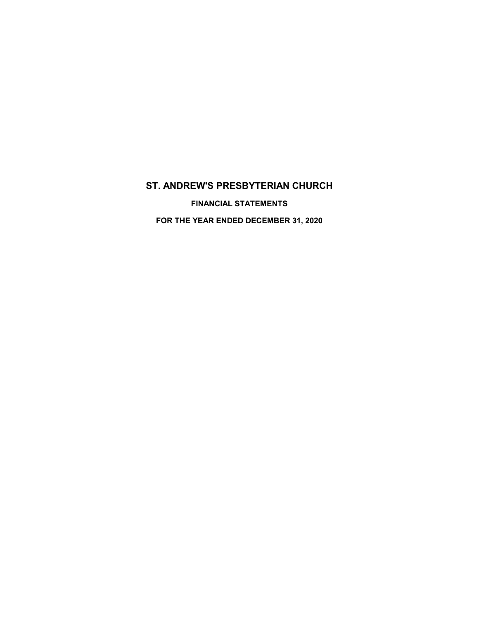**FINANCIAL STATEMENTS**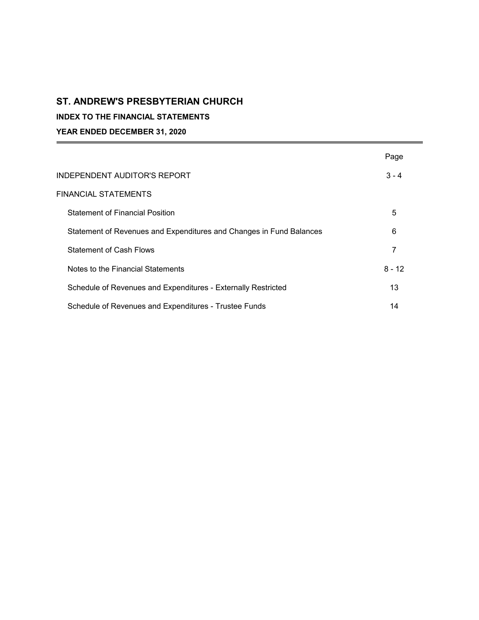## **INDEX TO THE FINANCIAL STATEMENTS**

## **YEAR ENDED DECEMBER 31, 2020**

 $\frac{1}{2}$ 

|                                                                     | Page     |
|---------------------------------------------------------------------|----------|
| INDEPENDENT AUDITOR'S REPORT                                        | $3 - 4$  |
| FINANCIAL STATEMENTS                                                |          |
| <b>Statement of Financial Position</b>                              | 5        |
| Statement of Revenues and Expenditures and Changes in Fund Balances | 6        |
| <b>Statement of Cash Flows</b>                                      | 7        |
| Notes to the Financial Statements                                   | $8 - 12$ |
| Schedule of Revenues and Expenditures - Externally Restricted       | 13       |
| Schedule of Revenues and Expenditures - Trustee Funds               | 14       |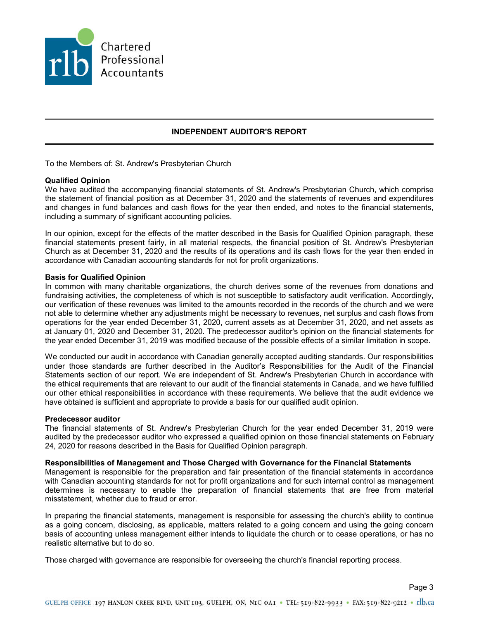

### **INDEPENDENT AUDITOR'S REPORT**

To the Members of: St. Andrew's Presbyterian Church

#### **Qualified Opinion**

We have audited the accompanying financial statements of St. Andrew's Presbyterian Church, which comprise the statement of financial position as at December 31, 2020 and the statements of revenues and expenditures and changes in fund balances and cash flows for the year then ended, and notes to the financial statements, including a summary of significant accounting policies.

In our opinion, except for the effects of the matter described in the Basis for Qualified Opinion paragraph, these financial statements present fairly, in all material respects, the financial position of St. Andrew's Presbyterian Church as at December 31, 2020 and the results of its operations and its cash flows for the year then ended in accordance with Canadian accounting standards for not for profit organizations.

#### **Basis for Qualified Opinion**

In common with many charitable organizations, the church derives some of the revenues from donations and fundraising activities, the completeness of which is not susceptible to satisfactory audit verification. Accordingly, our verification of these revenues was limited to the amounts recorded in the records of the church and we were not able to determine whether any adjustments might be necessary to revenues, net surplus and cash flows from operations for the year ended December 31, 2020, current assets as at December 31, 2020, and net assets as at January 01, 2020 and December 31, 2020. The predecessor auditor's opinion on the financial statements for the year ended December 31, 2019 was modified because of the possible effects of a similar limitation in scope.

We conducted our audit in accordance with Canadian generally accepted auditing standards. Our responsibilities under those standards are further described in the Auditor's Responsibilities for the Audit of the Financial Statements section of our report. We are independent of St. Andrew's Presbyterian Church in accordance with the ethical requirements that are relevant to our audit of the financial statements in Canada, and we have fulfilled our other ethical responsibilities in accordance with these requirements. We believe that the audit evidence we have obtained is sufficient and appropriate to provide a basis for our qualified audit opinion.

#### **Predecessor auditor**

The financial statements of St. Andrew's Presbyterian Church for the year ended December 31, 2019 were audited by the predecessor auditor who expressed a qualified opinion on those financial statements on February 24, 2020 for reasons described in the Basis for Qualified Opinion paragraph.

#### **Responsibilities of Management and Those Charged with Governance for the Financial Statements**

Management is responsible for the preparation and fair presentation of the financial statements in accordance with Canadian accounting standards for not for profit organizations and for such internal control as management determines is necessary to enable the preparation of financial statements that are free from material misstatement, whether due to fraud or error.

In preparing the financial statements, management is responsible for assessing the church's ability to continue as a going concern, disclosing, as applicable, matters related to a going concern and using the going concern basis of accounting unless management either intends to liquidate the church or to cease operations, or has no realistic alternative but to do so.

Those charged with governance are responsible for overseeing the church's financial reporting process.

Page 3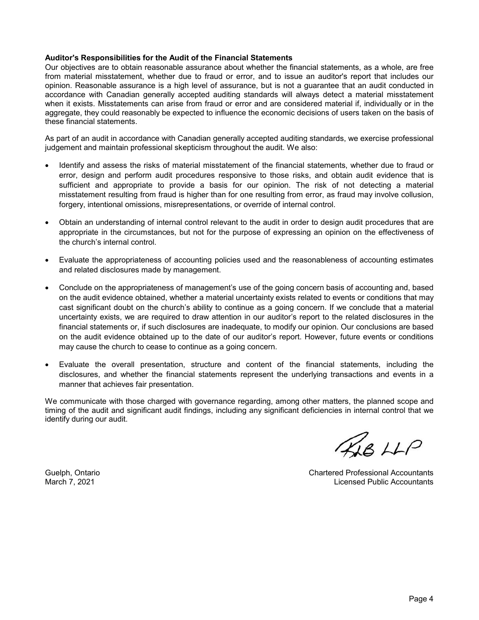### **Auditor's Responsibilities for the Audit of the Financial Statements**

Our objectives are to obtain reasonable assurance about whether the financial statements, as a whole, are free from material misstatement, whether due to fraud or error, and to issue an auditor's report that includes our opinion. Reasonable assurance is a high level of assurance, but is not a guarantee that an audit conducted in accordance with Canadian generally accepted auditing standards will always detect a material misstatement when it exists. Misstatements can arise from fraud or error and are considered material if, individually or in the aggregate, they could reasonably be expected to influence the economic decisions of users taken on the basis of these financial statements.

As part of an audit in accordance with Canadian generally accepted auditing standards, we exercise professional judgement and maintain professional skepticism throughout the audit. We also:

- Identify and assess the risks of material misstatement of the financial statements, whether due to fraud or error, design and perform audit procedures responsive to those risks, and obtain audit evidence that is sufficient and appropriate to provide a basis for our opinion. The risk of not detecting a material misstatement resulting from fraud is higher than for one resulting from error, as fraud may involve collusion, forgery, intentional omissions, misrepresentations, or override of internal control.
- Obtain an understanding of internal control relevant to the audit in order to design audit procedures that are appropriate in the circumstances, but not for the purpose of expressing an opinion on the effectiveness of the church's internal control.
- Evaluate the appropriateness of accounting policies used and the reasonableness of accounting estimates and related disclosures made by management.
- Conclude on the appropriateness of management's use of the going concern basis of accounting and, based on the audit evidence obtained, whether a material uncertainty exists related to events or conditions that may cast significant doubt on the church's ability to continue as a going concern. If we conclude that a material uncertainty exists, we are required to draw attention in our auditor's report to the related disclosures in the financial statements or, if such disclosures are inadequate, to modify our opinion. Our conclusions are based on the audit evidence obtained up to the date of our auditor's report. However, future events or conditions may cause the church to cease to continue as a going concern.
- Evaluate the overall presentation, structure and content of the financial statements, including the disclosures, and whether the financial statements represent the underlying transactions and events in a manner that achieves fair presentation.

We communicate with those charged with governance regarding, among other matters, the planned scope and timing of the audit and significant audit findings, including any significant deficiencies in internal control that we identify during our audit.

KIB LLP

Guelph, Ontario Chartered Professional Accountants March 7, 2021 Licensed Public Accountants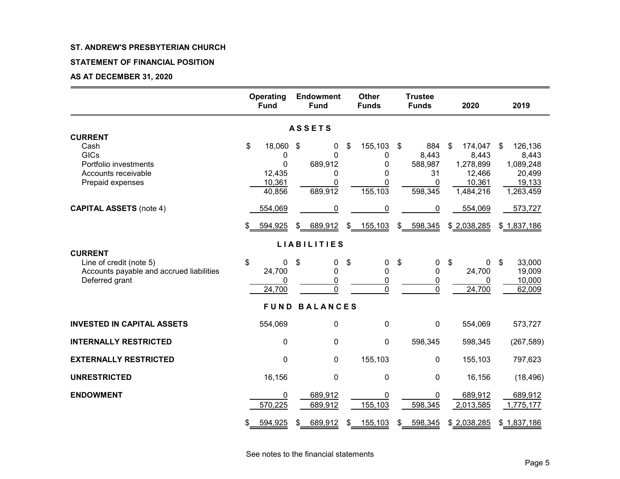## **STATEMENT OF FINANCIAL POSITION**

## **AS AT DECEMBER 31, 2020**

|                                          | Operating<br><b>Fund</b> |              | <b>Endowment</b><br><b>Fund</b> |                    | <b>Other</b><br><b>Funds</b> |                  | <b>Trustee</b><br><b>Funds</b> | 2020           | 2019          |                                     |  |  |  |  |
|------------------------------------------|--------------------------|--------------|---------------------------------|--------------------|------------------------------|------------------|--------------------------------|----------------|---------------|-------------------------------------|--|--|--|--|
| <b>ASSETS</b>                            |                          |              |                                 |                    |                              |                  |                                |                |               |                                     |  |  |  |  |
| <b>CURRENT</b>                           |                          |              |                                 |                    |                              |                  |                                |                |               |                                     |  |  |  |  |
| Cash                                     | \$                       | 18,060       | \$                              | 0                  | \$                           | 155,103          | $\boldsymbol{\mathsf{s}}$      | 884            | 174,047<br>\$ | 126,136<br>\$                       |  |  |  |  |
| <b>GICs</b>                              |                          | 0            |                                 | $\mathbf 0$        |                              | 0                |                                | 8,443          | 8,443         | 8,443                               |  |  |  |  |
| Portfolio investments                    |                          | $\Omega$     |                                 | 689,912            |                              | 0                |                                | 588,987        | 1,278,899     | 1,089,248                           |  |  |  |  |
| Accounts receivable                      |                          | 12,435       |                                 | 0                  |                              | 0                |                                | 31             | 12,466        | 20,499                              |  |  |  |  |
| Prepaid expenses                         |                          | 10,361       |                                 | 0                  |                              | $\mathbf 0$      |                                | 0              | 10,361        | 19,133                              |  |  |  |  |
|                                          |                          | 40,856       |                                 | 689,912            |                              | 155,103          |                                | 598,345        | 1,484,216     | 1,263,459                           |  |  |  |  |
| <b>CAPITAL ASSETS (note 4)</b>           |                          | 554,069      |                                 | 0                  |                              | 0                |                                | 0              | 554,069       | 573,727                             |  |  |  |  |
|                                          | \$                       | 594,925      | \$                              | 689,912            | \$                           | 155,103          | S.                             | 598,345        | \$2,038,285   | \$1,837,186                         |  |  |  |  |
|                                          |                          |              |                                 | <b>LIABILITIES</b> |                              |                  |                                |                |               |                                     |  |  |  |  |
| <b>CURRENT</b>                           |                          |              |                                 |                    |                              |                  |                                |                |               |                                     |  |  |  |  |
| Line of credit (note 5)                  | \$                       | $\mathbf{0}$ | \$                              | 0                  | \$                           | 0                | \$                             | 0              | \$<br>0       | $\boldsymbol{\mathsf{s}}$<br>33,000 |  |  |  |  |
| Accounts payable and accrued liabilities |                          | 24,700       |                                 | 0                  |                              | 0                |                                | 0              | 24,700        | 19,009                              |  |  |  |  |
| Deferred grant                           |                          | 0            |                                 | 0                  |                              | 0                |                                | $\overline{0}$ | 0             | 10,000                              |  |  |  |  |
|                                          |                          | 24,700       |                                 | $\Omega$           |                              | $\Omega$         |                                | $\mathbf{0}$   | 24,700        | 62,009                              |  |  |  |  |
|                                          |                          | FUND         |                                 | <b>BALANCES</b>    |                              |                  |                                |                |               |                                     |  |  |  |  |
| <b>INVESTED IN CAPITAL ASSETS</b>        |                          | 554,069      |                                 | 0                  |                              | $\boldsymbol{0}$ |                                | $\mathbf 0$    | 554,069       | 573,727                             |  |  |  |  |
| <b>INTERNALLY RESTRICTED</b>             |                          | 0            |                                 | $\mathbf 0$        |                              | $\mathbf 0$      |                                | 598,345        | 598,345       | (267, 589)                          |  |  |  |  |
| <b>EXTERNALLY RESTRICTED</b>             |                          | $\mathbf 0$  |                                 | $\boldsymbol{0}$   |                              | 155,103          |                                | $\mathbf 0$    | 155,103       | 797,623                             |  |  |  |  |
| <b>UNRESTRICTED</b>                      |                          | 16,156       |                                 | $\pmb{0}$          |                              | $\boldsymbol{0}$ |                                | 0              | 16,156        | (18, 496)                           |  |  |  |  |
| <b>ENDOWMENT</b>                         |                          | 0            |                                 | 689,912            |                              | 0                |                                | 0              | 689,912       | 689,912                             |  |  |  |  |
|                                          |                          | 570,225      |                                 | 689,912            |                              | 155,103          |                                | 598,345        | 2,013,585     | 1,775,177                           |  |  |  |  |
|                                          | \$                       | 594,925      | \$                              | 689,912            | \$                           | 155,103          | \$                             | 598,345        | \$2,038,285   | \$1,837,186                         |  |  |  |  |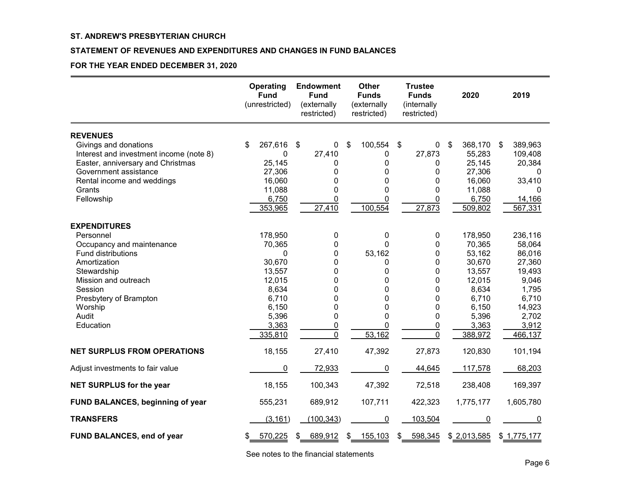### **STATEMENT OF REVENUES AND EXPENDITURES AND CHANGES IN FUND BALANCES**

### **FOR THE YEAR ENDED DECEMBER 31, 2020**

|                                         | Operating<br><b>Fund</b><br>(unrestricted) | <b>Endowment</b><br><b>Fund</b><br>(externally<br>restricted) |                           | <b>Other</b><br><b>Funds</b><br>(externally<br>restricted) | <b>Trustee</b><br><b>Funds</b><br>(internally<br>restricted) |                           | 2020        |    | 2019        |  |
|-----------------------------------------|--------------------------------------------|---------------------------------------------------------------|---------------------------|------------------------------------------------------------|--------------------------------------------------------------|---------------------------|-------------|----|-------------|--|
| <b>REVENUES</b>                         |                                            |                                                               |                           |                                                            |                                                              |                           |             |    |             |  |
| Givings and donations                   | \$<br>267,616                              | $\sqrt[6]{3}$<br>0                                            | \$                        | 100,554                                                    | \$<br>0                                                      | $\boldsymbol{\mathsf{s}}$ | 368,170     | \$ | 389,963     |  |
| Interest and investment income (note 8) | 0                                          | 27,410                                                        |                           | 0                                                          | 27,873                                                       |                           | 55,283      |    | 109,408     |  |
| Easter, anniversary and Christmas       | 25,145                                     | 0                                                             |                           | $\mathbf{0}$                                               | 0                                                            |                           | 25,145      |    | 20,384      |  |
| Government assistance                   | 27,306                                     | 0                                                             |                           | $\Omega$                                                   | 0                                                            |                           | 27,306      |    | 0           |  |
| Rental income and weddings              | 16,060                                     | 0                                                             |                           | $\mathbf{0}$                                               | 0                                                            |                           | 16,060      |    | 33,410      |  |
| Grants                                  | 11,088                                     | 0                                                             |                           | 0                                                          | 0                                                            |                           | 11,088      |    | 0           |  |
| Fellowship                              | 6,750                                      | 0                                                             |                           | 0                                                          | 0                                                            |                           | 6,750       |    | 14,166      |  |
|                                         | 353,965                                    | 27,410                                                        |                           | 100,554                                                    | 27,873                                                       |                           | 509,802     |    | 567,331     |  |
| <b>EXPENDITURES</b>                     |                                            |                                                               |                           |                                                            |                                                              |                           |             |    |             |  |
| Personnel                               | 178,950                                    | 0                                                             |                           | 0                                                          | 0                                                            |                           | 178,950     |    | 236,116     |  |
| Occupancy and maintenance               | 70,365                                     | 0                                                             |                           | $\Omega$                                                   | 0                                                            |                           | 70,365      |    | 58,064      |  |
| Fund distributions                      | 0                                          | 0                                                             |                           | 53,162                                                     | 0                                                            |                           | 53,162      |    | 86,016      |  |
| Amortization                            | 30,670                                     | 0                                                             |                           | 0                                                          | 0                                                            |                           | 30,670      |    | 27,360      |  |
| Stewardship                             | 13,557                                     | 0                                                             |                           | 0                                                          | 0                                                            |                           | 13,557      |    | 19,493      |  |
| Mission and outreach                    | 12,015                                     | 0                                                             |                           | $\mathbf 0$                                                | 0                                                            |                           | 12,015      |    | 9,046       |  |
| Session                                 | 8,634                                      | 0                                                             |                           | $\mathbf{0}$                                               | 0                                                            |                           | 8,634       |    | 1,795       |  |
| Presbytery of Brampton                  | 6,710                                      | 0                                                             |                           | $\mathbf{0}$                                               | 0                                                            |                           | 6,710       |    | 6,710       |  |
| Worship                                 | 6,150                                      | 0                                                             |                           | $\mathbf{0}$                                               | 0                                                            |                           | 6,150       |    | 14,923      |  |
| Audit                                   | 5,396                                      | 0                                                             |                           | $\mathbf 0$                                                | 0                                                            |                           | 5,396       |    | 2,702       |  |
| Education                               | 3,363                                      | 0                                                             |                           | 0                                                          | 0                                                            |                           | 3,363       |    | 3,912       |  |
|                                         | 335,810                                    | 0                                                             |                           | 53,162                                                     | $\overline{0}$                                               |                           | 388,972     |    | 466,137     |  |
| <b>NET SURPLUS FROM OPERATIONS</b>      | 18,155                                     | 27,410                                                        |                           | 47,392                                                     | 27,873                                                       |                           | 120,830     |    | 101,194     |  |
|                                         |                                            |                                                               |                           |                                                            |                                                              |                           |             |    |             |  |
| Adjust investments to fair value        | 0                                          | 72,933                                                        |                           | 0                                                          | 44,645                                                       |                           | 117,578     |    | 68,203      |  |
| <b>NET SURPLUS for the year</b>         | 18,155                                     | 100,343                                                       |                           | 47,392                                                     | 72,518                                                       |                           | 238,408     |    | 169,397     |  |
| FUND BALANCES, beginning of year        | 555,231                                    | 689,912                                                       |                           | 107,711                                                    | 422,323                                                      |                           | 1,775,177   |    | 1,605,780   |  |
| <b>TRANSFERS</b>                        | (3, 161)                                   | (100, 343)                                                    |                           | 0                                                          | 103,504                                                      |                           | 0           |    | 0           |  |
| FUND BALANCES, end of year              | \$<br>570,225                              | 689,912<br>\$                                                 | $\boldsymbol{\mathsf{S}}$ | 155,103                                                    | \$<br>598,345                                                |                           | \$2,013,585 |    | \$1,775,177 |  |

See notes to the financial statements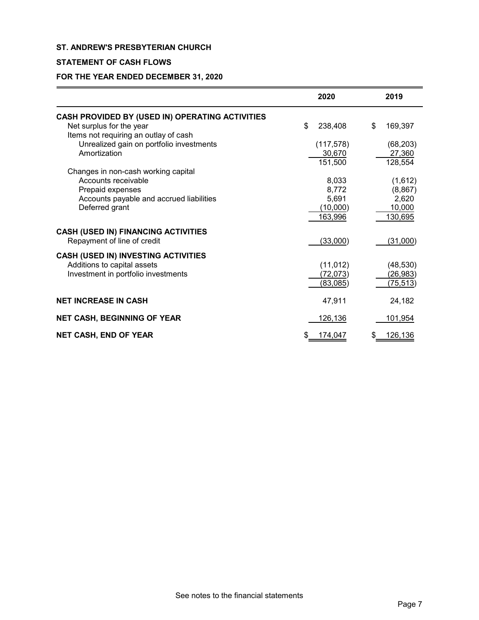## **STATEMENT OF CASH FLOWS**

|                                                                                                                                              | 2020                                           | 2019                                              |
|----------------------------------------------------------------------------------------------------------------------------------------------|------------------------------------------------|---------------------------------------------------|
| CASH PROVIDED BY (USED IN) OPERATING ACTIVITIES<br>Net surplus for the year<br>Items not requiring an outlay of cash                         | \$.<br>238,408                                 | 169,397<br>\$                                     |
| Unrealized gain on portfolio investments<br>Amortization                                                                                     | (117, 578)<br>30,670<br>151,500                | (68, 203)<br>27,360<br>128,554                    |
| Changes in non-cash working capital<br>Accounts receivable<br>Prepaid expenses<br>Accounts payable and accrued liabilities<br>Deferred grant | 8,033<br>8,772<br>5,691<br>(10,000)<br>163,996 | (1,612)<br>(8, 867)<br>2,620<br>10,000<br>130,695 |
| <b>CASH (USED IN) FINANCING ACTIVITIES</b><br>Repayment of line of credit                                                                    | (33,000)                                       | (31,000)                                          |
| <b>CASH (USED IN) INVESTING ACTIVITIES</b><br>Additions to capital assets<br>Investment in portfolio investments                             | (11, 012)<br>(72, 073)<br>(83,085)             | (48, 530)<br>(26, 983)<br>(75, 513)               |
| <b>NET INCREASE IN CASH</b>                                                                                                                  | 47,911                                         | 24,182                                            |
| <b>NET CASH, BEGINNING OF YEAR</b>                                                                                                           | 126,136                                        | <u>101,954</u>                                    |
| <b>NET CASH, END OF YEAR</b>                                                                                                                 | 174,047                                        | 126,136                                           |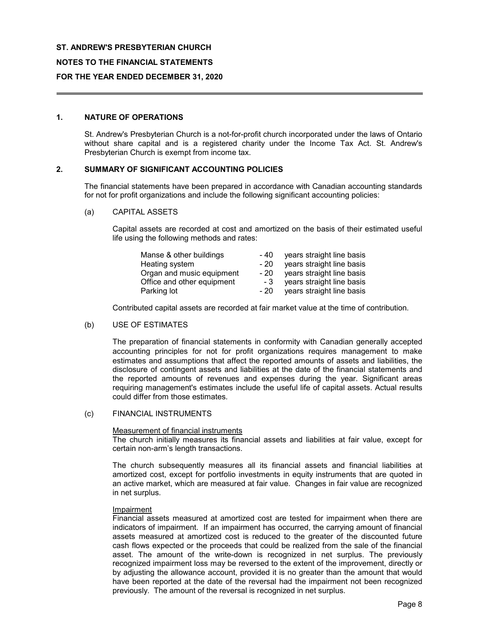### **NOTES TO THE FINANCIAL STATEMENTS**

#### **FOR THE YEAR ENDED DECEMBER 31, 2020**

#### **1. NATURE OF OPERATIONS**

St. Andrew's Presbyterian Church is a not-for-profit church incorporated under the laws of Ontario without share capital and is a registered charity under the Income Tax Act. St. Andrew's Presbyterian Church is exempt from income tax.

### **2. SUMMARY OF SIGNIFICANT ACCOUNTING POLICIES**

The financial statements have been prepared in accordance with Canadian accounting standards for not for profit organizations and include the following significant accounting policies:

(a) CAPITAL ASSETS

Capital assets are recorded at cost and amortized on the basis of their estimated useful life using the following methods and rates:

| Manse & other buildings    | - 40  | years straight line basis |
|----------------------------|-------|---------------------------|
| Heating system             | - 20  | years straight line basis |
| Organ and music equipment  | $-20$ | years straight line basis |
| Office and other equipment | - 3   | years straight line basis |
| Parking lot                | - 20  | years straight line basis |

Contributed capital assets are recorded at fair market value at the time of contribution.

### (b) USE OF ESTIMATES

The preparation of financial statements in conformity with Canadian generally accepted accounting principles for not for profit organizations requires management to make estimates and assumptions that affect the reported amounts of assets and liabilities, the disclosure of contingent assets and liabilities at the date of the financial statements and the reported amounts of revenues and expenses during the year. Significant areas requiring management's estimates include the useful life of capital assets. Actual results could differ from those estimates.

(c) FINANCIAL INSTRUMENTS

#### Measurement of financial instruments

The church initially measures its financial assets and liabilities at fair value, except for certain non-arm's length transactions.

The church subsequently measures all its financial assets and financial liabilities at amortized cost, except for portfolio investments in equity instruments that are quoted in an active market, which are measured at fair value. Changes in fair value are recognized in net surplus.

#### Impairment

Financial assets measured at amortized cost are tested for impairment when there are indicators of impairment. If an impairment has occurred, the carrying amount of financial assets measured at amortized cost is reduced to the greater of the discounted future cash flows expected or the proceeds that could be realized from the sale of the financial asset. The amount of the write-down is recognized in net surplus. The previously recognized impairment loss may be reversed to the extent of the improvement, directly or by adjusting the allowance account, provided it is no greater than the amount that would have been reported at the date of the reversal had the impairment not been recognized previously. The amount of the reversal is recognized in net surplus.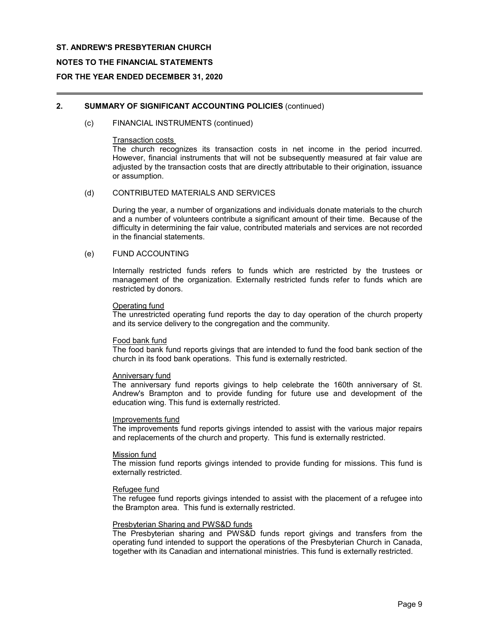### **NOTES TO THE FINANCIAL STATEMENTS**

### **FOR THE YEAR ENDED DECEMBER 31, 2020**

### **2. SUMMARY OF SIGNIFICANT ACCOUNTING POLICIES** (continued)

#### (c) FINANCIAL INSTRUMENTS (continued)

#### Transaction costs

The church recognizes its transaction costs in net income in the period incurred. However, financial instruments that will not be subsequently measured at fair value are adjusted by the transaction costs that are directly attributable to their origination, issuance or assumption.

#### (d) CONTRIBUTED MATERIALS AND SERVICES

During the year, a number of organizations and individuals donate materials to the church and a number of volunteers contribute a significant amount of their time. Because of the difficulty in determining the fair value, contributed materials and services are not recorded in the financial statements.

#### (e) FUND ACCOUNTING

Internally restricted funds refers to funds which are restricted by the trustees or management of the organization. Externally restricted funds refer to funds which are restricted by donors.

#### Operating fund

The unrestricted operating fund reports the day to day operation of the church property and its service delivery to the congregation and the community.

#### Food bank fund

The food bank fund reports givings that are intended to fund the food bank section of the church in its food bank operations. This fund is externally restricted.

#### Anniversary fund

The anniversary fund reports givings to help celebrate the 160th anniversary of St. Andrew's Brampton and to provide funding for future use and development of the education wing. This fund is externally restricted.

#### Improvements fund

The improvements fund reports givings intended to assist with the various major repairs and replacements of the church and property. This fund is externally restricted.

#### Mission fund

The mission fund reports givings intended to provide funding for missions. This fund is externally restricted.

#### Refugee fund

The refugee fund reports givings intended to assist with the placement of a refugee into the Brampton area. This fund is externally restricted.

#### Presbyterian Sharing and PWS&D funds

The Presbyterian sharing and PWS&D funds report givings and transfers from the operating fund intended to support the operations of the Presbyterian Church in Canada, together with its Canadian and international ministries. This fund is externally restricted.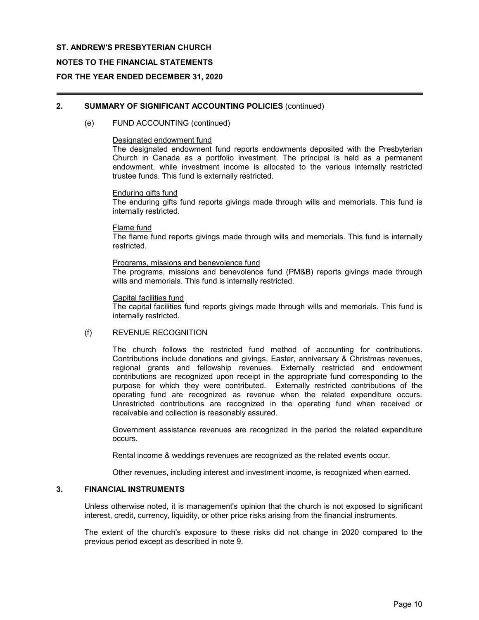### **NOTES TO THE FINANCIAL STATEMENTS**

### **FOR THE YEAR ENDED DECEMBER 31, 2020**

### **2. SUMMARY OF SIGNIFICANT ACCOUNTING POLICIES** (continued)

#### (e) FUND ACCOUNTING (continued)

#### Designated endowment fund

The designated endowment fund reports endowments deposited with the Presbyterian Church in Canada as a portfolio investment. The principal is held as a permanent endowment, while investment income is allocated to the various internally restricted trustee funds. This fund is externally restricted.

#### Enduring gifts fund

The enduring gifts fund reports givings made through wills and memorials. This fund is internally restricted.

#### Flame fund

The flame fund reports givings made through wills and memorials. This fund is internally restricted.

#### Programs, missions and benevolence fund

The programs, missions and benevolence fund (PM&B) reports givings made through wills and memorials. This fund is internally restricted.

#### Capital facilities fund

The capital facilities fund reports givings made through wills and memorials. This fund is internally restricted.

### (f) REVENUE RECOGNITION

The church follows the restricted fund method of accounting for contributions. Contributions include donations and givings, Easter, anniversary & Christmas revenues, regional grants and fellowship revenues. Externally restricted and endowment contributions are recognized upon receipt in the appropriate fund corresponding to the purpose for which they were contributed. Externally restricted contributions of the operating fund are recognized as revenue when the related expenditure occurs. Unrestricted contributions are recognized in the operating fund when received or receivable and collection is reasonably assured.

Government assistance revenues are recognized in the period the related expenditure occurs.

Rental income & weddings revenues are recognized as the related events occur.

Other revenues, including interest and investment income, is recognized when earned.

### **3. FINANCIAL INSTRUMENTS**

Unless otherwise noted, it is management's opinion that the church is not exposed to significant interest, credit, currency, liquidity, or other price risks arising from the financial instruments.

The extent of the church's exposure to these risks did not change in 2020 compared to the previous period except as described in note 9.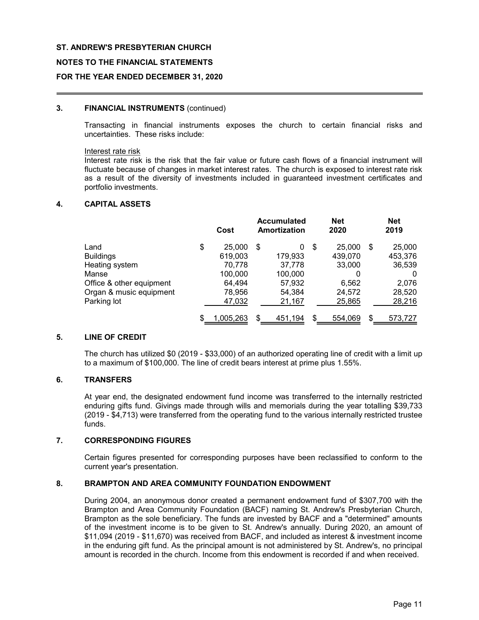### **NOTES TO THE FINANCIAL STATEMENTS**

### **FOR THE YEAR ENDED DECEMBER 31, 2020**

#### **3. FINANCIAL INSTRUMENTS** (continued)

Transacting in financial instruments exposes the church to certain financial risks and uncertainties. These risks include:

#### Interest rate risk

Interest rate risk is the risk that the fair value or future cash flows of a financial instrument will fluctuate because of changes in market interest rates. The church is exposed to interest rate risk as a result of the diversity of investments included in guaranteed investment certificates and portfolio investments.

### **4. CAPITAL ASSETS**

|                          | Cost            |   | <b>Accumulated</b><br>Amortization |    | <b>Net</b><br>2020 | <b>Net</b><br>2019 |
|--------------------------|-----------------|---|------------------------------------|----|--------------------|--------------------|
| Land                     | \$<br>25,000    | S | 0                                  | S  | 25,000             | \$<br>25,000       |
| <b>Buildings</b>         | 619,003         |   | 179,933                            |    | 439,070            | 453,376            |
| Heating system           | 70.778          |   | 37,778                             |    | 33,000             | 36,539             |
| Manse                    | 100,000         |   | 100,000                            |    | O                  | 0                  |
| Office & other equipment | 64.494          |   | 57,932                             |    | 6,562              | 2,076              |
| Organ & music equipment  | 78,956          |   | 54,384                             |    | 24,572             | 28,520             |
| Parking lot              | 47,032          |   | 21,167                             |    | 25,865             | 28,216             |
|                          | \$<br>1,005,263 |   | 451,194                            | \$ | 554,069            | \$<br>573,727      |

#### **5. LINE OF CREDIT**

The church has utilized \$0 (2019 - \$33,000) of an authorized operating line of credit with a limit up to a maximum of \$100,000. The line of credit bears interest at prime plus 1.55%.

### **6. TRANSFERS**

At year end, the designated endowment fund income was transferred to the internally restricted enduring gifts fund. Givings made through wills and memorials during the year totalling \$39,733 (2019 - \$4,713) were transferred from the operating fund to the various internally restricted trustee funds.

#### **7. CORRESPONDING FIGURES**

Certain figures presented for corresponding purposes have been reclassified to conform to the current year's presentation.

### **8. BRAMPTON AND AREA COMMUNITY FOUNDATION ENDOWMENT**

During 2004, an anonymous donor created a permanent endowment fund of \$307,700 with the Brampton and Area Community Foundation (BACF) naming St. Andrew's Presbyterian Church, Brampton as the sole beneficiary. The funds are invested by BACF and a "determined" amounts of the investment income is to be given to St. Andrew's annually. During 2020, an amount of \$11,094 (2019 - \$11,670) was received from BACF, and included as interest & investment income in the enduring gift fund. As the principal amount is not administered by St. Andrew's, no principal amount is recorded in the church. Income from this endowment is recorded if and when received.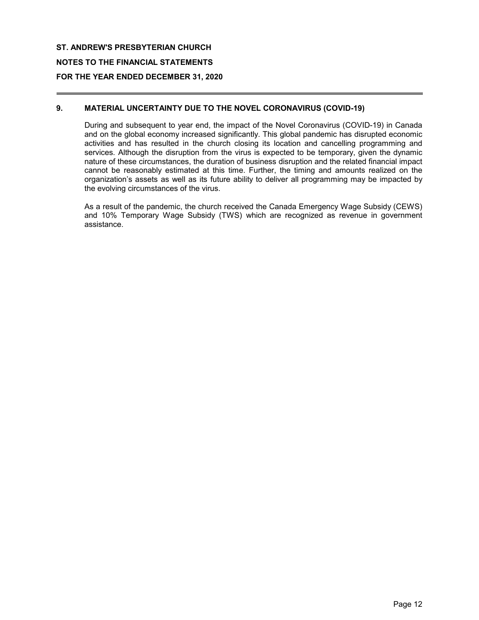# **ST. ANDREW'S PRESBYTERIAN CHURCH NOTES TO THE FINANCIAL STATEMENTS FOR THE YEAR ENDED DECEMBER 31, 2020**

### **9. MATERIAL UNCERTAINTY DUE TO THE NOVEL CORONAVIRUS (COVID-19)**

During and subsequent to year end, the impact of the Novel Coronavirus (COVID-19) in Canada and on the global economy increased significantly. This global pandemic has disrupted economic activities and has resulted in the church closing its location and cancelling programming and services. Although the disruption from the virus is expected to be temporary, given the dynamic nature of these circumstances, the duration of business disruption and the related financial impact cannot be reasonably estimated at this time. Further, the timing and amounts realized on the organization's assets as well as its future ability to deliver all programming may be impacted by the evolving circumstances of the virus.

As a result of the pandemic, the church received the Canada Emergency Wage Subsidy (CEWS) and 10% Temporary Wage Subsidy (TWS) which are recognized as revenue in government assistance.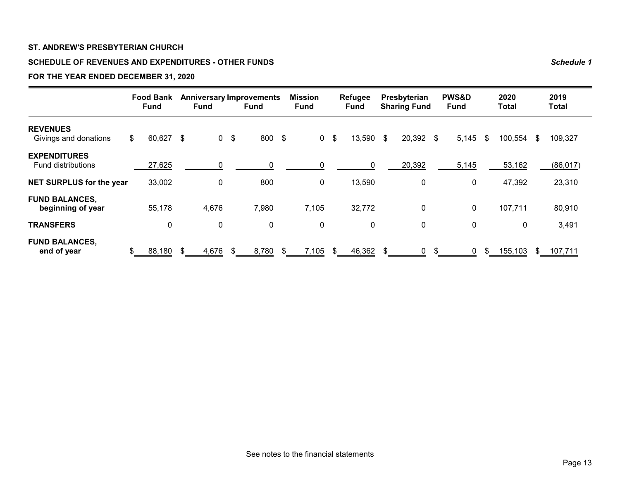## **SCHEDULE OF REVENUES AND EXPENDITURES - OTHER FUNDS** *Schedule 1*

|                                                  | <b>Food Bank</b><br><b>Fund</b> | <b>Fund</b>  |     | <b>Anniversary Improvements</b><br><b>Fund</b> | <b>Mission</b><br><b>Fund</b> |    | <b>Refugee</b><br><b>Fund</b> |    | Presbyterian<br><b>Sharing Fund</b> |   | <b>PWS&amp;D</b><br><b>Fund</b> |    | 2020<br><b>Total</b> | 2019<br><b>Total</b> |
|--------------------------------------------------|---------------------------------|--------------|-----|------------------------------------------------|-------------------------------|----|-------------------------------|----|-------------------------------------|---|---------------------------------|----|----------------------|----------------------|
| <b>REVENUES</b><br>Givings and donations         | \$<br>60,627 \$                 | $\mathbf 0$  | -\$ | 800 \$                                         | $\mathbf 0$                   | \$ | 13,590 \$                     |    | $20,392$ \$                         |   | 5,145                           | \$ | 100,554              | \$<br>109,327        |
| <b>EXPENDITURES</b><br><b>Fund distributions</b> | 27,625                          | $\mathbf{0}$ |     | 0                                              | $\Omega$                      |    |                               |    | 20,392                              |   | 5,145                           |    | 53,162               | (86, 017)            |
| NET SURPLUS for the year                         | 33,002                          | 0            |     | 800                                            | $\mathbf 0$                   |    | 13,590                        |    | 0                                   |   | 0                               |    | 47,392               | 23,310               |
| <b>FUND BALANCES,</b><br>beginning of year       | 55,178                          | 4,676        |     | 7,980                                          | 7,105                         |    | 32,772                        |    | $\mathbf{0}$                        |   | 0                               |    | 107,711              | 80,910               |
| <b>TRANSFERS</b>                                 | 0                               |              |     | 0                                              | $\Omega$                      |    | 0                             |    |                                     |   |                                 |    |                      | 3,491                |
| <b>FUND BALANCES,</b><br>end of year             | 88,180                          | \$<br>4,676  | \$. | 8,780                                          | \$<br>7,105                   | \$ | 46,362                        | \$ |                                     | S | 0                               | \$ | 155,103              | \$<br>107,711        |